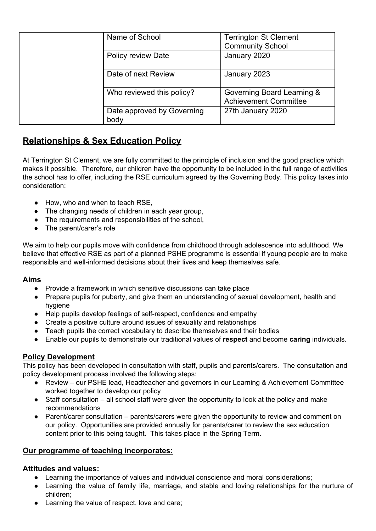|  | Name of School                     | <b>Terrington St Clement</b><br><b>Community School</b>    |
|--|------------------------------------|------------------------------------------------------------|
|  | <b>Policy review Date</b>          | January 2020                                               |
|  | Date of next Review                | January 2023                                               |
|  | Who reviewed this policy?          | Governing Board Learning &<br><b>Achievement Committee</b> |
|  | Date approved by Governing<br>body | 27th January 2020                                          |

# **Relationships & Sex Education Policy**

At Terrington St Clement, we are fully committed to the principle of inclusion and the good practice which makes it possible. Therefore, our children have the opportunity to be included in the full range of activities the school has to offer, including the RSE curriculum agreed by the Governing Body. This policy takes into consideration:

- How, who and when to teach RSE,
- The changing needs of children in each year group,
- The requirements and responsibilities of the school,
- The parent/carer's role

We aim to help our pupils move with confidence from childhood through adolescence into adulthood. We believe that effective RSE as part of a planned PSHE programme is essential if young people are to make responsible and well-informed decisions about their lives and keep themselves safe.

# **Aims**

- Provide a framework in which sensitive discussions can take place
- Prepare pupils for puberty, and give them an understanding of sexual development, health and hygiene
- Help pupils develop feelings of self-respect, confidence and empathy
- Create a positive culture around issues of sexuality and relationships
- Teach pupils the correct vocabulary to describe themselves and their bodies
- Enable our pupils to demonstrate our traditional values of **respect** and become **caring** individuals.

# **Policy Development**

This policy has been developed in consultation with staff, pupils and parents/carers. The consultation and policy development process involved the following steps:

- Review our PSHE lead, Headteacher and governors in our Learning & Achievement Committee worked together to develop our policy
- Staff consultation all school staff were given the opportunity to look at the policy and make recommendations
- Parent/carer consultation parents/carers were given the opportunity to review and comment on our policy. Opportunities are provided annually for parents/carer to review the sex education content prior to this being taught. This takes place in the Spring Term.

# **Our programme of teaching incorporates:**

# **Attitudes and values:**

- Learning the importance of values and individual conscience and moral considerations;
- Learning the value of family life, marriage, and stable and loving relationships for the nurture of children;
- Learning the value of respect, love and care;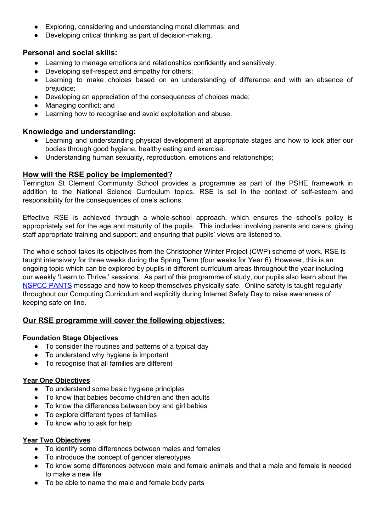- Exploring, considering and understanding moral dilemmas; and
- Developing critical thinking as part of decision-making.

# **Personal and social skills:**

- Learning to manage emotions and relationships confidently and sensitively;
- Developing self-respect and empathy for others;
- Learning to make choices based on an understanding of difference and with an absence of prejudice;
- Developing an appreciation of the consequences of choices made;
- Managing conflict; and
- Learning how to recognise and avoid exploitation and abuse.

### **Knowledge and understanding:**

- Learning and understanding physical development at appropriate stages and how to look after our bodies through good hygiene, healthy eating and exercise.
- Understanding human sexuality, reproduction, emotions and relationships;

# **How will the RSE policy be implemented?**

Terrington St Clement Community School provides a programme as part of the PSHE framework in addition to the National Science Curriculum topics. RSE is set in the context of self-esteem and responsibility for the consequences of one's actions.

Effective RSE is achieved through a whole-school approach, which ensures the school's policy is appropriately set for the age and maturity of the pupils. This includes: involving parents and carers; giving staff appropriate training and support; and ensuring that pupils' views are listened to.

The whole school takes its objectives from the Christopher Winter Project (CWP) scheme of work. RSE is taught intensively for three weeks during the Spring Term (four weeks for Year 6). However, this is an ongoing topic which can be explored by pupils in different curriculum areas throughout the year including our weekly 'Learn to Thrive,' sessions. As part of this programme of study, our pupils also learn about the [NSPCC](https://www.nspcc.org.uk/preventing-abuse/keeping-children-safe/underwear-rule/?utm_source=vanity&utm_medium=vanity&utm_campaign=2016+pants) PANTS message and how to keep themselves physically safe. Online safety is taught regularly throughout our Computing Curriculum and explicitly during Internet Safety Day to raise awareness of keeping safe on line.

# **Our RSE programme will cover the following objectives:**

#### **Foundation Stage Objectives**

- To consider the routines and patterns of a typical day
- To understand why hygiene is important
- To recognise that all families are different

#### **Year One Objectives**

- To understand some basic hygiene principles
- To know that babies become children and then adults
- To know the differences between boy and girl babies
- To explore different types of families
- To know who to ask for help

# **Year Two Objectives**

- To identify some differences between males and females
- To introduce the concept of gender stereotypes
- To know some differences between male and female animals and that a male and female is needed to make a new life
- To be able to name the male and female body parts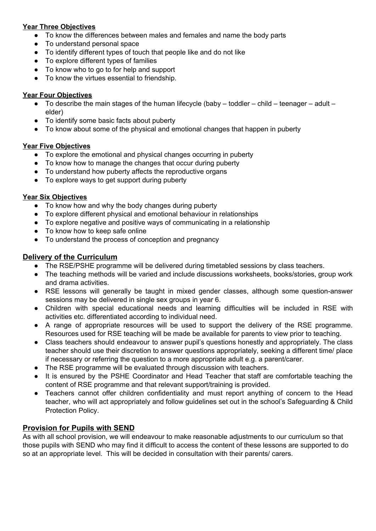## **Year Three Objectives**

- To know the differences between males and females and name the body parts
- To understand personal space
- To identify different types of touch that people like and do not like
- To explore different types of families
- To know who to go to for help and support
- To know the virtues essential to friendship.

## **Year Four Objectives**

- $\bullet$  To describe the main stages of the human lifecycle (baby toddler child teenager adult elder)
- To identify some basic facts about puberty
- To know about some of the physical and emotional changes that happen in puberty

#### **Year Five Objectives**

- To explore the emotional and physical changes occurring in puberty
- To know how to manage the changes that occur during puberty
- To understand how puberty affects the reproductive organs
- To explore ways to get support during puberty

#### **Year Six Objectives**

- To know how and why the body changes during puberty
- To explore different physical and emotional behaviour in relationships
- To explore negative and positive ways of communicating in a relationship
- To know how to keep safe online
- To understand the process of conception and pregnancy

#### **Delivery of the Curriculum**

- The RSE/PSHE programme will be delivered during timetabled sessions by class teachers.
- The teaching methods will be varied and include discussions worksheets, books/stories, group work and drama activities.
- RSE lessons will generally be taught in mixed gender classes, although some question-answer sessions may be delivered in single sex groups in year 6.
- Children with special educational needs and learning difficulties will be included in RSE with activities etc. differentiated according to individual need.
- A range of appropriate resources will be used to support the delivery of the RSE programme. Resources used for RSE teaching will be made be available for parents to view prior to teaching.
- Class teachers should endeavour to answer pupil's questions honestly and appropriately. The class teacher should use their discretion to answer questions appropriately, seeking a different time/ place if necessary or referring the question to a more appropriate adult e.g. a parent/carer.
- The RSE programme will be evaluated through discussion with teachers.
- It is ensured by the PSHE Coordinator and Head Teacher that staff are comfortable teaching the content of RSE programme and that relevant support/training is provided.
- Teachers cannot offer children confidentiality and must report anything of concern to the Head teacher, who will act appropriately and follow guidelines set out in the school's Safeguarding & Child Protection Policy.

# **Provision for Pupils with SEND**

As with all school provision, we will endeavour to make reasonable adjustments to our curriculum so that those pupils with SEND who may find it difficult to access the content of these lessons are supported to do so at an appropriate level. This will be decided in consultation with their parents/ carers.